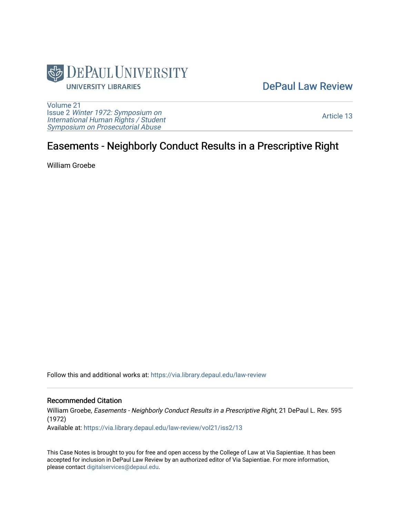

## [DePaul Law Review](https://via.library.depaul.edu/law-review)

[Volume 21](https://via.library.depaul.edu/law-review/vol21) Issue 2 [Winter 1972: Symposium on](https://via.library.depaul.edu/law-review/vol21/iss2) [International Human Rights / Student](https://via.library.depaul.edu/law-review/vol21/iss2) [Symposium on Prosecutorial Abuse](https://via.library.depaul.edu/law-review/vol21/iss2)

[Article 13](https://via.library.depaul.edu/law-review/vol21/iss2/13) 

## Easements - Neighborly Conduct Results in a Prescriptive Right

William Groebe

Follow this and additional works at: [https://via.library.depaul.edu/law-review](https://via.library.depaul.edu/law-review?utm_source=via.library.depaul.edu%2Flaw-review%2Fvol21%2Fiss2%2F13&utm_medium=PDF&utm_campaign=PDFCoverPages) 

## Recommended Citation

William Groebe, Easements - Neighborly Conduct Results in a Prescriptive Right, 21 DePaul L. Rev. 595 (1972) Available at: [https://via.library.depaul.edu/law-review/vol21/iss2/13](https://via.library.depaul.edu/law-review/vol21/iss2/13?utm_source=via.library.depaul.edu%2Flaw-review%2Fvol21%2Fiss2%2F13&utm_medium=PDF&utm_campaign=PDFCoverPages)

This Case Notes is brought to you for free and open access by the College of Law at Via Sapientiae. It has been accepted for inclusion in DePaul Law Review by an authorized editor of Via Sapientiae. For more information, please contact [digitalservices@depaul.edu.](mailto:digitalservices@depaul.edu)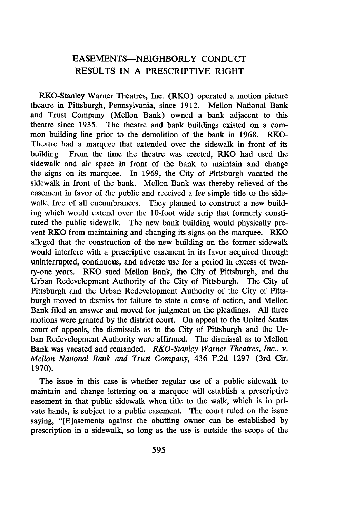## EASEMENTS-NEIGHBORLY CONDUCT RESULTS IN A PRESCRIPTIVE RIGHT

RKO-Stanley Warner Theatres, Inc. (RKO) operated a motion picture theatre in Pittsburgh, Pennsylvania, since 1912. Mellon National Bank and Trust Company (Mellon Bank) owned a bank adjacent to this theatre since 1935. The theatre and bank buildings existed on a common building line prior to the demolition of the bank in 1968. RKO-Theatre had a marquee that extended over the sidewalk in front of its building. From the time the theatre was erected, RKO had used the sidewalk and air space in front of the bank to maintain and change the signs on its marquee. In 1969, the City of Pittsburgh vacated the sidewalk in front of the bank. Mellon Bank was thereby relieved of the easement in favor of the public and received a fee simple title to the sidewalk, free of all encumbrances. They planned to construct a new building which would extend over the 10-foot wide strip that formerly constituted the public sidewalk. The new bank building would physically prevent RKO from maintaining and changing its signs on the marquee. RKO alleged that the construction of the new building on the former sidewalk would interfere with a prescriptive easement in its favor acquired through uninterrupted, continuous, and adverse use for a period in excess of twenty-one years. RKO sued Mellon Bank, the City of Pittsburgh, and the Urban Redevelopment Authority of the City of Pittsburgh. The City of Pittsburgh and the Urban Redevelopment Authority of the City of Pittsburgh moved to dismiss for failure to state a cause of action, and Mellon Bank filed an answer and moved for judgment on the pleadings. All three motions were granted by the district court. On appeal to the United States court of appeals, the dismissals as to the City of Pittsburgh and the Urban Redevelopment Authority were affirmed. The dismissal as to Mellon Bank was vacated and remanded. *RKO-Stanley Warner Theatres, Inc., v. Mellon National Bank and Trust Company,* 436 F.2d 1297 (3rd Cir. 1970).

The issue in this case is whether regular use of a public sidewalk to maintain and change lettering on a marquee will establish a prescriptive easement in that public sidewalk when title to the walk, which is in private hands, is subject to a public easement. The court ruled on the issue saying, "[E]asements against the abutting owner can be established by prescription in a sidewalk, so long as the use is outside the scope of the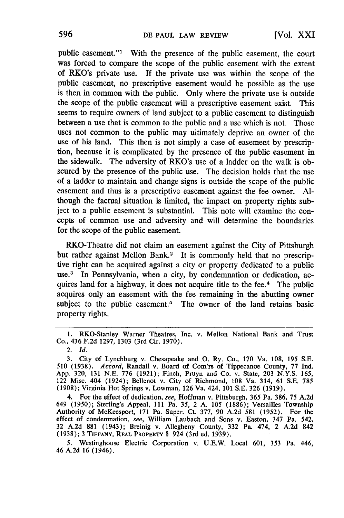public easement."' With the presence of the public easement, the court was forced to compare the scope of the public easement with the extent of RKO's private use. **If** the private use was within the scope of the public easement, no prescriptive easement would be possible as the use is then in common with the public. Only where the private use is outside the scope of the public easement will a prescriptive easement exist. This seems to require owners of land subject to a public easement to distinguish between a use that is common to the public and a use which is not. Those uses not common to the public may ultimately deprive an owner of the use of his land. This then is not simply a case of easement **by** prescription, because it is complicated **by** the presence of the public easement in the sidewalk. The adversity of RKO's use of a ladder on the walk is obscured **by** the presence of the public use. The decision holds that the use of a ladder to maintain and change signs is outside the scope of the public easement and thus is a prescriptive easement against the fee owner. **Al**though the factual situation is limited, the impact on property rights subject to a public easement is substantial. This note will examine the concepts of common use and adversity and will determine the boundaries for the scope of the public easement.

RKO-Theatre did not claim an easement against the City of Pittsburgh but rather against Mellon Bank.<sup>2</sup> It is commonly held that no prescriptive right can be acquired against a city or property dedicated to a public use.8 In Pennsylvania, when a city, **by** condemnation or dedication, acquires land for a highway, it does not acquire title to the fee.<sup>4</sup> The public acquires only an easement with the fee remaining in the abutting owner subject to the public easement.<sup>5</sup> The owner of the land retains basic property rights.

<sup>1.</sup> RKO-Stanley Warner Theatres, Inc. v. Mellon National Bank and Trust Co., 436 **F.2d** 1297, 1303 (3rd Cir. **1970).**

<sup>2.</sup> *Id.*

**<sup>3.</sup>** City of Lynchburg v. Chesapeake and **0.** Ry. Co., **170** Va. **108,** *195* **S.E. 510 (1938).** *Accord,* Randall v. Board of Com'rs of Tippecanoe County, 77 **Ind.** App. **320, 131 N.E. 776 (1921);** Finch, Pruyn and Co. v. State, **203 N.Y.S.** 165, 122 Misc. 404 (1924); Bellenot v. City of Richmond, **108** Va. 314, **61 S.E. 785 (1908);** Virginia Hot Springs v. Lowman, **126** Va. 424, **101 S.E. 326 (1919).**

<sup>4.</sup> For the effect of dedication, *see,* Hoffman v. Pittsburgh, **365** Pa. **386,** 75 **A.2d** 649 **(1950);** Sterling's Appeal, **III** Pa. **35,** 2 **A. 105 (1886);** Versailles Township Authority of McKeesport, **171** Pa. Super. Ct. 377, **90 A.2d 581 (1952).** For the effect of condemnation, *see,* William Laubach and Sons v. Easton, 347 Pa. 542, **32 A.2d 881** (1943); Breinig v. Allegheny County, **332** Pa. 474, 2 **A.2d** <sup>842</sup> **(1938); 3 TIFFANY, REAL PROPERTY** § 924 (3rd ed. **1939).**

**<sup>5.</sup>** Westinghouse Electric Corporation v. U.E.W. Local 601, 353 Pa. 446, 46 A.2d 16 (1946).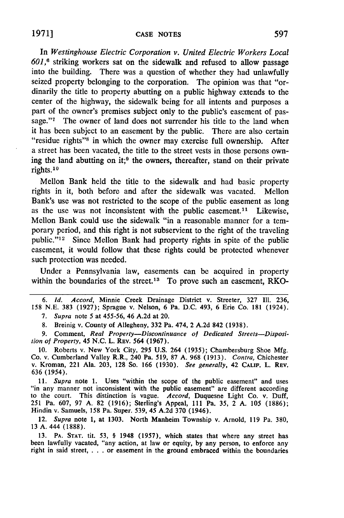In *Westinghouse Electric Corporation v. United Electric Workers Local 601,6* striking workers sat on the sidewalk and refused to allow passage into the building. There was a question of whether they had unlawfully seized property belonging to the corporation. The opinion was that "ordinarily the title to property abutting on a public highway extends to the center of the highway, the sidewalk being for all intents and purposes a part of the owner's premises subject only to the public's easement of passage."'7 The owner of land does not surrender his title to the land when it has been subject to an easement by the public. There are also certain "residue rights"<sup>8</sup> in which the owner may exercise full ownership. After a street has been vacated, the title to the street vests in those persons owning the land abutting on it;<sup>9</sup> the owners, thereafter, stand on their private rights.<sup>10</sup>

Mellon Bank held the title to the sidewalk and had basic property rights in it, both before and after the sidewalk was vacated. Mellon Bank's use was not restricted to the scope of the public easement as long as the use was not inconsistent with the public easement.<sup>11</sup> Likewise, Mellon Bank could use the sidewalk "in a reasonable manner for a temporary period, and this right is not subservient to the right of the traveling public."<sup>12</sup> Since Mellon Bank had property rights in spite of the public easement, it would follow that these rights could be protected whenever such protection was needed.

Under a Pennsylvania law, easements can be acquired in property within the boundaries of the street.<sup>13</sup> To prove such an easement, RKO-

*6. Id. Accord,* Minnie Creek Drainage District v. Streeter, 327 Ill. 236, 158 N.E. 383 (1927); Sprague v. Nelson, 6 Pa. D.C. 493, 6 Erie Co. 181 (1924).

*7.* Supra note 5 at 455-56, 46 **A.2d** at 20.

8. Breinig v. County of Allegheny, **332** Pa. 474, 2 A.2d 842 (1938).

9. Comment, *Real Property-Discontinuance of Dedicated Streets-Disposition of Property, 45* N.C. L. REV. 564 (1967).

10. Roberts v. New York City, 295 U.S. 264 (1935); Chambersburg Shoe Mfg. Co. v. Cumberland Valley R.R., 240 Pa. 519, 87 A. 968 (1913). *Contra,* Chichester v. Kroman, 221 Ala. 203, **128** So. **166 (1930).** *See generally,* 42 **CALIF.** L. REV. **636** (1954).

11. *Supra* note 1. Uses "within the scope of the public easement" and uses "in any manner not inconsistent with the public easement" are different according to the court. This distinction is vague. *Accord,* Duquesne Light Co. v. Duff, 251 Pa. 607, 97 A. 82 (1916); Sterling's Appeal, **Ill** Pa. 35, 2 A. 105 (1886); Hindin v. Samuels, 158 Pa. Super. 539, 45 **A.2d 370** (1946).

12. *Supra* note 1, at 1303. North Manheim Township v. Arnold, 119 Pa. 380, 13 A. 444 (1888).

**13.** PA. **STAT.** tit. 53, § 1948 (1957), which states that where any street has been lawfully vacated, "any action, at law or equity, **by** any person, to enforce any right in said street, . **.** . or easement in the ground embraced within the boundaries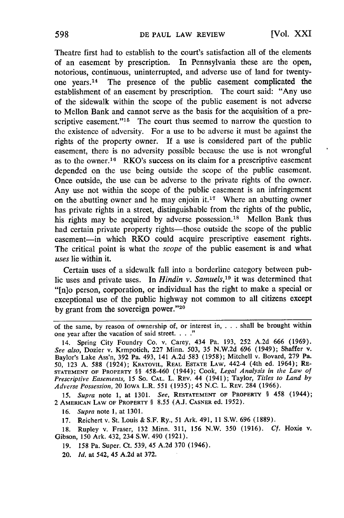Theatre first had to establish to the court's satisfaction all of the elements of an easement by prescription. In Pennsylvania these are the open, notorious, continuous, uninterrupted, and adverse use of land for twentyone years.'14 The presence of the public easement complicated the establishment of an easement by prescription. The court said: "Any use of the sidewalk within the scope of the public easement is not adverse to Mellon Bank and cannot serve as the basis for the acquisition of a prescriptive easement."<sup>15</sup> The court thus seemed to narrow the question to the existence of adversity. For a use to be adverse it must be against the rights of the property owner. **If** a use is considered part of the public easement, there is no adversity possible because the use is not wrongful as to the owner.<sup>16</sup> RKO's success on its claim for a prescriptive easement depended on the use being outside the scope of the public easement. Once outside, the use can be adverse to the private rights of the owner. Any use not within the scope of the public easement is an infringement on the abutting owner and he may enjoin it.<sup>17</sup> Where an abutting owner has private rights in a street, distinguishable from the rights of the public, his rights may be acquired by adverse possession.<sup>18</sup> Mellon Bank thus had certain private property rights—those outside the scope of the public easement-in which RKO could acquire prescriptive easement rights. The critical point is what the *scope* of the public easement is and what *uses* lie within it.

Certain uses of a sidewalk fall into a borderline category between public uses and private uses. In *Hindin v. Samuels,<sup>19</sup>*it was determined that "[n]o person, corporation, or individual has the right to make a special or exceptional use of the public highway not common to all citizens except by grant from the sovereign power." $20$ 

**15.** *Supra* note **1,** at 1301. *See,* RESTATEMENT **OF** PROPERTY § 458 (1944); 2 **AMERICAN** LAW **OF PROPERTY** § 8.55 (A.J. **CASNER** ed. 1952).

16. *Supra* note 1, at 1301.

**17.** Reichert v. St. Louis & S.F. Ry., 51 Ark. 491, 11 S.W. 696 (1889).

18. Rupley v. Fraser, 132 Minn. 311, 156 N.W. 350 (1916). *Cf.* Hoxie v. Gibson, 150 Ark. 432, 234 S.W. 490 (1921).

- 19. 158 Pa. Super. Ct. 539, 45 A.2d 370 (1946).
- 20. *Id.* at 542, 45 A.2d at 372.

of the same, by reason of ownership of, or interest in, ... shall be brought within one year after the vacation of said street. . **....**

<sup>14.</sup> Spring City Foundry Co. v. Carey, 434 Pa. 193, 252 A.2d 666 (1969). *See also,* Dozier v. Krmpotich, 227 Minn. 503, 35 N.W.2d 696 (1949); Shaffer v. Baylor's Lake Ass'n, 392 Pa. 493, 141 A.2d **583 (1958);** Mitchell v. Bovard, 279 Pa. **50,** 123 **A.** 588 (1924); KRATOVIL, REAL **ESTATE** LAW, 442-4 (4th ed. 1964); RE-**STATEMENT** OF PROPERTY §§ 458-460 (1944); Cook, *Legal Analysis in the Law of Prescriptive Easements, 15* So. **CAL.** L. REV. 44 (1941); Taylor, *Titles to Land by Adverse Possession,* 20 IowA L.R. **551 (1935);** 45 N.C. L. REv. 284 (1966).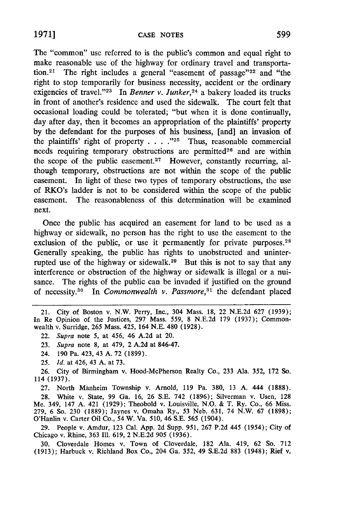The "common" use referred to is the public's common and equal right to make reasonable use of the highway for ordinary travel and transportation.<sup>21</sup> The right includes a general "easement of passage"<sup>22</sup> and "the right to stop temporarily for business necessity, accident or the ordinary exigencies of travel."<sup>23</sup> In *Benner v. Junker*,<sup>24</sup> a bakery loaded its trucks in front of another's residence and used the sidewalk. The court felt that occasional loading could be tolerated; "but when it is done continually, day after day, then it becomes an appropriation of the plaintiffs' property by the defendant for the purposes of his business, [and] an invasion of the plaintiffs' right of property . . . .<sup>225</sup> Thus, reasonable commercial needs requiring temporary obstructions are permitted<sup>26</sup> and are within the scope of the public easement.<sup>27</sup> However, constantly recurring, although temporary, obstructions are not within the scope of the public easement. In light of these two types of temporary obstructions, the use of RKO's ladder is not to be considered within the scope of the public easement. The reasonableness of this determination will be examined next.

Once the public has acquired an easement for land to be used as a highway or sidewalk, no person has the right to use the easement to the exclusion of the public, or use it permanently for private purposes.<sup>28</sup> Generally speaking, the public has rights to unobstructed and uninterrupted use of the highway or sidewalk.29 But this is not to say that any interference or obstruction of the highway or sidewalk is illegal or a nuisance. The rights of the public can be invaded if justified on the ground of necessity.30 In *Commonwealth v. Passmore,31* the defendant placed

21. City of Boston v. N.W. Perry, Inc., 304 Mass. 18, 22 N.E.2d 627 (1939); In Re Opinion of the Justices, 297 Mass. 559, 8 N.E.2d 179 (1937); Commonwealth v. Surridge, 265 Mass. 425, 164 N.E. 480 (1928).

22. *Supra* note 5, at 456, 46 **A.2d** at 20.

23. *Supra* note 8, at 479, 2 A.2d at 846-47.

24. 190 Pa. 423, 43 A. 72 (1899).

26. City of Birmingham v. Hood-McPherson Realty Co., 233 Ala. 352, 172 So. 114 (1937).

27. North Manheim Township v. Arnold, 119 Pa. 380, 13 A. 444 (1888). 28. White v. State, 99 Ga. 16, 26 S.E. 742 (1896); Silverman v. Usen, 128 Me. 349, 147 A. 421 (1929); Theobold v. Louisville, N.O. & T. Ry. Co., 66 Miss. 279, 6 So. 230 (1889); Jaynes v. Omaha Ry., 53 Neb. 631, 74 N.W. 67 (1898); O'Hanlin v. Carter Oil Co., 54 W. Va. 510, 46 S.E. 565 (1904).

29. People v. Amdur, 123 Cal. App. 2d Supp. 951, 267 P.2d 445 (1954); City of Chicago v. Rhine, 363 Ill. 619, 2 N.E.2d 905 (1936).

30. Cloverdale Homes v. Town of Cloverdale, 182 Ala. 419, 62 So. 712 (1913); Harbuck v. Richland Box Co., 204 Ga. 352, 49 S.E.2d 883 (1948); Rief v.

<sup>25.</sup> *Id.* at 426, 43 A. at 73.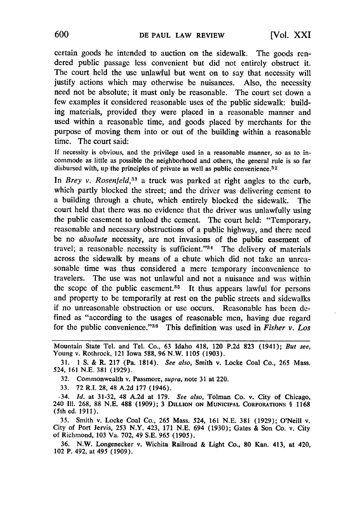certain goods he intended to auction on the sidewalk. The goods rendered public passage less convenient but did not entirely obstruct it. The court held the use unlawful but went on to say that necessity will justify actions which may otherwise be nuisances. Also, the necessity need not be absolute; it must only be reasonable. The court set down a few examples it considered reasonable uses of the public sidewalk: building materials, provided they were placed in a reasonable manner and used within a reasonable time, and goods placed by merchants for the purpose of moving them into or out of the building within a reasonable time. The court said:

If necessity is obvious, and the privilege used in a reasonable manner, so as to incommode as little as possible the neighborhood and others, the general rule is so far disbursed with, up the principles of private as well as public convenience.<sup>32</sup>

In *Brey v. Rosenfeld*,<sup>33</sup> a truck was parked at right angles to the curb, which partly blocked the street; and the driver was delivering cement to a building through a chute, which entirely blocked the sidewalk. The court held that there was no evidence that the driver was unlawfully using the public easement to unload the cement. The court held: "Temporary, reasonable and necessary obstructions of a public highway, and there need be no *absolute* necessity, are not invasions of the public easement of travel; a reasonable necessity is sufficient." $34$  The delivery of materials across the sidewalk by means of a chute which did not take an unreasonable time was thus considered a mere temporary inconvenience to travelers. The use was not unlawful and not a nuisance and was within the scope of the public easement. $35$  It thus appears lawful for persons and property to be temporarily at rest on the public streets and sidewalks if no unreasonable obstruction or use occurs. Reasonable has been defined as "according to the usages of reasonable men, having due regard for the public convenience." 36 This definition was used in *Fisher v. Los*

Mountain State Tel. and Tel. Co., 63 Idaho 418, 120 P.2d 823 (1941); *But see,* Young v. Rothrock, 121 Iowa 588, 96 N.W. 1105 (1903).

31. 1 S. & R. 217 (Pa. 1814). *See* also, Smith v. Locke Coal Co., 265 Mass. 524, 161 N.E. 381 (1929).

32. Commonwealth v. Passmore, *supra*, note 31 at 220.

33. 72 R.I. 28, 48 A.2d 177 (1946).

.34. *Id.* at 31-32, 48 A.2d at 179. *See also,* Tolman Co. v. City of Chicago, <sup>240</sup>**I11. 268, 88 N.E. 488 (1909); 3 DILLION ON MUNICIPAL CORPORATIONS** § **<sup>1168</sup>** (5th ed. **1911).**

**35.** Smith v. Locke Coal Co., **265** Mass. 524, **161 N.E. 381 (1929);** O'Neill **v.** City of Port Jervis, **253** N.Y. 423, **171 N.E.** 694 **(1930);** Gates & Son Co. v. City of Richmond, **103** Va. **702,** 49 **S.E. 965 (1905).**

**36.** N.W. Longenecker v. Wichita Railroad & Light Co., **80 Kan. 413, at 420,** 102 P. 492, at 495 **(1909).**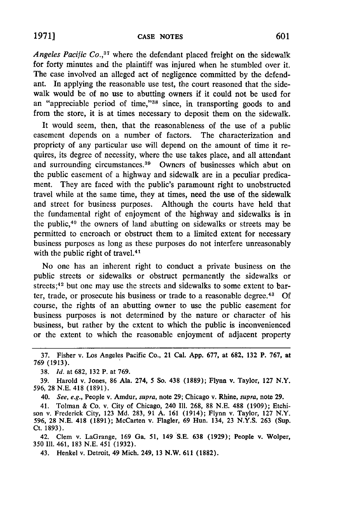*Angeles Pacific Co.,<sup>37</sup>*where the defendant placed freight on the sidewalk for forty minutes and the plaintiff was injured when he stumbled over it. The case involved an alleged act of negligence committed by the defendant. In applying the reasonable use test, the court reasoned that the sidewalk would be of no use to abutting owners if it could not be used for an "appreciable period of time,"<sup>38</sup> since, in transporting goods to and from the store, it is at times necessary to deposit them on the sidewalk.

It would seem, then, that the reasonableness of the use of a public easement depends on a number of factors. The characterization and propriety of any particular use will depend on the amount of time it requires, its degree of necessity, where the use takes place, and all attendant and surrounding circumstances. 39 Owners of businesses which abut on the public easement of a highway and sidewalk are in a peculiar predicament. They are faced with the public's paramount right to unobstructed travel while at the same time, they at times, need the use of the sidewalk and street for business purposes. Although the courts have held that the fundamental right of enjoyment of the highway and sidewalks is in the public, 40 the owners of land abutting on sidewalks or streets may be permitted to encroach or obstruct them to a limited extent for necessary business purposes as long as these purposes do not interfere unreasonably with the public right of travel.<sup>41</sup>

No one has an inherent right to conduct a private business on the public streets or sidewalks or obstruct permanently the sidewalks or streets;<sup>42</sup> but one may use the streets and sidewalks to some extent to barter, trade, or prosecute his business or trade to a reasonable degree.<sup>43</sup> Of course, the rights of an abutting owner to use the public easement for business purposes is not determined by the nature or character of his business, but rather by the extent to which the public is inconvenienced or the extent to which the reasonable enjoyment of adjacent property

41. Tolman & Co. v. City of Chicago, 240 Ill. 268, 88 N.E. 488 (1909); Etchi- son v. Frederick City, 123 Md. 283, 91 A. 161 (1914); Flynn v. Taylor, 127 N.Y. 596, 28 N.E. 418 (1891); McCarten v. Flagler, 69 Hun. 134, 23 N.Y.S. 263 (Sup. Ct. 1893).

42. Clem v. LaGrange, 169 Ga. 51, 149 S.E. 638 (1929); People v. Wolper, 350 Ill. 461, 183 N.E. 451 (1932).

43. Henkel v. Detroit, 49 Mich. 249, 13 N.W. 611 (1882).

<sup>37.</sup> Fisher v. Los Angeles Pacific Co., 21 Cal. **App.** 677, at 682, 132 P. 767, at **769 (1913).**

<sup>38.</sup> *Id.* at **682, 132** P. at **769.**

<sup>39.</sup> Harold v. Jones, 86 Ala. 274, **5** So. 438 **(1889);** Flynn v. Taylor, **127** N.Y. 596, 28 N.E. 418 (1891).

<sup>40.</sup> *See, e.g.,* People v. Amdur, *supra,* note 29; Chicago v. Rhine, *supra,* note 29.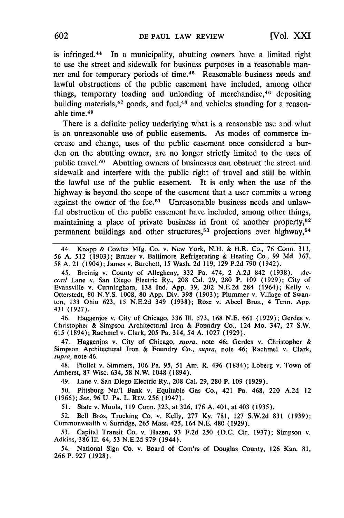is infringed.<sup>44</sup> In a municipality, abutting owners have a limited right to use the street and sidewalk for business purposes in a reasonable manner and for temporary periods of time.<sup>45</sup> Reasonable business needs and lawful obstructions of the public easement have included, among other things, temporary loading and unloading of merchandise, 46 depositing building materials,<sup>47</sup> goods, and fuel,<sup>48</sup> and vehicles standing for a reasonable time. <sup>49</sup>

There is a definite policy underlying what is a reasonable use and what is an unreasonable use of public easements. As modes of commerce increase and change, uses of the public easement once considered a burden on the abutting owner, are no longer strictly limited to the uses of public travel.<sup>50</sup> Abutting owners of businesses can obstruct the street and sidewalk and interfere with the public right of travel and still be within the lawful use of the public easement. It is only when the use of the highway is beyond the scope of the easement that a user commits a wrong against the owner of the fee.<sup>51</sup> Unreasonable business needs and unlawful obstruction of the public easement have included, among other things, maintaining a place of private business in front of another property, $5^2$ permanent buildings and other structures,<sup>53</sup> projections over highway,<sup>54</sup>

44. Knapp & Cowles Mfg. Co. v. New York, N.H. & H.R. Co., 76 Conn. 311, 56 A. 512 (1903); Brauer v. Baltimore Refrigerating & Heating Co., 99 Md. 367, **58** A. 21 (1904); James v. Burchett, 15 Wash. 2d 119, 129 P.2d 790 (1942).

45. Breinig v. County of Allegheny, 332 Pa. 474, 2 A.2d 842 (1938). *Accord* Lane v. San Diego Electric Ry., 208 Cal. 29, 280 P. 109 (1929); City of Evansville v. Cunningham, 138 Ind. App. 39, 202 N.E.2d 284 (1964); Kelly v. Otterstedt, 80 N.Y.S. 1008, 80 App. Div. 398 (1903); Plummer v. Village of Swanton, 133 Ohio 623, 15 N.E.2d 349 (1938); Rose v. Abeel Bros., 4 Tenn. App. 431 (1927).

46. Haggenjos v. City of Chicago, 336 Il1. 573, 168 N.E. 661 (1929); Gerdes v. Christopher & Simpson Architectural Iron & Foundry Co., 124 Mo. 347, 27 S.W. 615 (1894); Rachmel v. Clark, 205 Pa. 314, 54 **A.** 1027 (1929).

47. Haggenjos v. City of Chicago, *supra,* note 46; Gerdes v. Christopher & Simpson Architectural Iron & Foundry Co., *supra,* note 46; Rachmel v. Clark, *supra,* note 46.

48. Piollet v. Simmers, 106 Pa. **95,** 51 Am. R. 496 (1884); Loberg v. Town of Amherst, 87 Wisc. 634, 58 N.W. 1048 (1894).

49. Lane v. San Diego Electric Ry., 208 Cal. 29, 280 P. 109 (1929).

50. Pittsburg Nat'l Bank v. Equitable Gas Co., 421 Pa. 468, 220 A.2d 12 (1966); *See,* 96 U. **PA.** L. REV. 256 (1947).

51. State v. Muola, 119 Conn. 323, at 326, 176 A. 401, at 403 **(1935).**

52. Bell Bros. Trucking Co. v. Kelly, 277 Ky. 781, 127 S.W.2d 831 (1939); Commonwealth v. Surridge, 265 Mass. 425, 164 N.E. 480 (1929).

**53.** Capital Transit Co. v. Hazen, 93 F.2d 250 (D.C. Cir. 1937); Simpson v. Adkins, 386 **Il1.** 64, 53 N.E.2d 979 (1944).

54. National Sign Co. v. Board of Com'rs of Douglas County, 126 Kan. 81, 266 P. 927 (1928).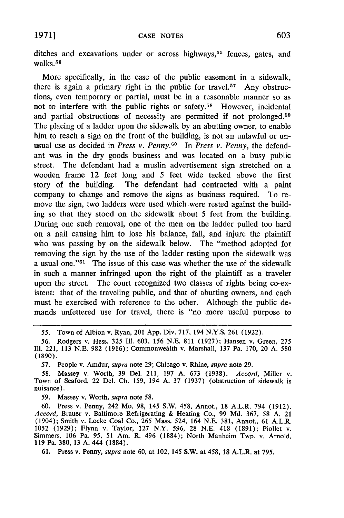ditches and excavations under or across highways, 55 fences, gates, and walks. **<sup>56</sup>**

More specifically, in the case of the public easement in a sidewalk, there is again a primary right in the public for travel.<sup>57</sup> Any obstructions, even temporary or partial, must be in a reasonable manner so as not to interfere with the public rights or safety.58 However, incidental and partial obstructions of necessity are permitted if not prolonged.<sup>59</sup> The placing of a ladder upon the sidewalk by an abutting owner, to enable him to reach a sign on the front of the building, is not an unlawful or unusual use as decided in *Press v. Penny.<sup>60</sup>* In *Press v. Penny*, the defendant was in the dry goods business and was located on a busy public street. The defendant had a muslin advertisement sign stretched on a wooden frame 12 feet long and 5 feet wide tacked above the first story of the building. The defendant had contracted with a paint company to change and remove the signs as business required. To remove the sign, two ladders were used which were rested against the building so that they stood on the sidewalk about 5 feet from the building. During one such removal, one of the men on the ladder pulled too hard on a nail causing him to lose his balance, fall, and injure the plaintiff who was passing by on the sidewalk below. The "method adopted for removing the sign by the use of the ladder resting upon the sidewalk was a usual one." $61$  The issue of this case was whether the use of the sidewalk in such a manner infringed upon the right of the plaintiff as a traveler upon the street. The court recognized two classes of rights being co-existent: that of the traveling public, and that of abutting owners, and each must be exercised with reference to the other. Although the public demands unfettered use for travel, there is "no more useful purpose to

*57.* People v. Amdur, *supra* note 29; Chicago v. Rhine, *supra* note 29.

*58.* Massey v. Worth, **39** Del. 211, **197** A. **673 (1938).** *Accord,* Miller v. Town of Seaford, 22 Del. Ch. *159,* 194 **A. 37** (1937) (obstruction of sidewalk is nuisance).

**59.** Massey v. Worth, *supra* note **58.**

**60.** Press v. Penny, 242 Mo. 98, *145* S.W. 458, Annot., 18 A.L.R. 794 (1912). *Accord,* Brauer v. Baltimore Refrigerating & Heating Co., 99 **Md.** 367, **58 A.** 21 (1904); Smith v. Locke Coal Co., **265** Mass. 524, 164 **N.E. 381,** Annot., 61 A.L.R. 1052 (1929); Flynn v. Taylor, **127** N.Y. 596, 28 N.E. 418 (1891); Piollet v. Simmers, 106 Pa. 95, **51** Am. R. 496 (1884); North Manheim Twp. v. Arnold, **119** Pa. **380, 13** A. 444 (1884).

**61.** Press v. Penny, *supra* note 60, at 102, 145 S.W. at 458, **18** A.L.R. at **795.**

<sup>55.</sup> Town of Albion v. Ryan, 201 App. Div. 717, 194 N.Y.S. 261 (1922).

<sup>56.</sup> Rodgers v. Hess, 325 Ill. 603, 156 NE. 811 (1927); Hansen v. Green, <sup>275</sup> Ill. 221, 113 N.E. 982 (1916); Commonwealth v. Marshall, 137 Pa. 170, 20 A. 580 **(1890).**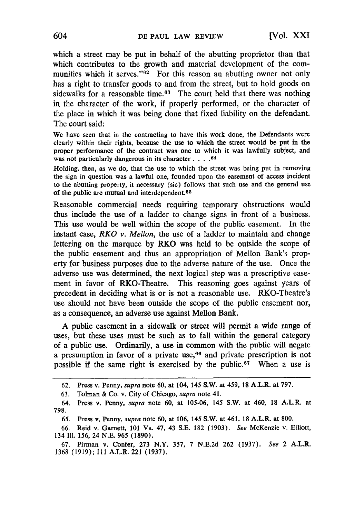which a street may be put in behalf of the abutting proprietor than that which contributes to the growth and material development of the communities which it serves." $62$  For this reason an abutting owner not only has a right to transfer goods to and from the street, but to hold goods on sidewalks for a reasonable time.<sup>63</sup> The court held that there was nothing in the character of the work, if properly performed, or the character of the place in which it was being done that fixed liability on the defendant. The court said:

We have seen that in the contracting to have this work done, the Defendants were clearly within their rights, because the use to which the street would be put in the proper performance of the contract was one to which it was lawfully subject, and was not particularly dangerous in its character **....** 64

Holding, then, as we do, that the use to which the street was being put in removing the sign in question was a lawful one, founded upon the easement of access incident to the abutting property, it necessary (sic) follows that such use and the general use of the public are mutual and interdependent.65

Reasonable commercial needs requiring temporary obstructions would thus include the use of a ladder to change signs in front of a business. This use would be well within the scope of the public easement. In the instant case, *RKO v. Mellon,* the use of a ladder to maintain and change lettering on the marquee **by** RKO was held to be outside the scope of the public easement and thus an appropriation of Mellon Bank's property for business purposes due to the adverse nature of the use. Once the adverse use was determined, the next logical step was a prescriptive easement in favor of RKO-Theatre. This reasoning goes against years of precedent in deciding what is or is not a reasonable use. RKO-Theatre's use should not have been outside the scope of the public easement nor, as a consequence, an adverse use against Mellon Bank.

A public easement in a sidewalk or street will permit a wide range of uses, but these uses must be such as to fall within the general category of a public use. Ordinarily, a use in common with the public will negate a presumption in favor of a private use,<sup>66</sup> and private prescription is not possible if the same right is exercised **by** the public. 67 When a use is

**67.** Pirman v. Confer, **273** N.Y. 357, **7** N.E.2d **262** (1937). *See* 2 A.L.R. 1368 (1919); 111 A.L.R. 221 (1937).

**<sup>62.</sup>** Press v. Penny, *supra* **note 60, at** 104, **145 S.W. at** 459, **18 A.L.R. at 797.**

**<sup>63.</sup>** Tolman & Co. v. City of Chicago, *supra* note 41.

<sup>64.</sup> Press v. Penny, *supra* note 60, at 105-06, 145 S.W. at 460, **18** A.L.R. at **798.**

*<sup>65.</sup>* Press v. Penny, *supra* note 60, at 106, 145 S.W. at 461, **18** A.L.R. at **800.**

**<sup>66.</sup>** Reid v. Garnett, **101** Va. 47, 43 S.E. **182** (1903). *See* McKenzie v. Elliott, 134 **Ill.** 156, 24 N.E. **965 (1890).**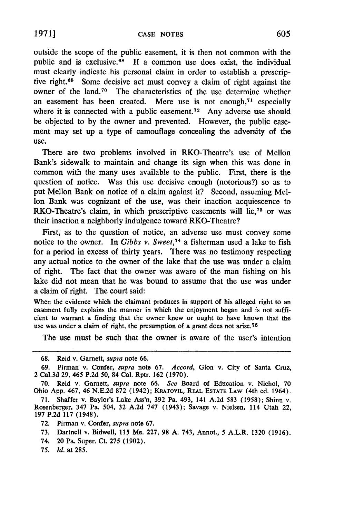outside the scope of the public easement, it is then not common with the public and is exclusive. $68$  If a common use does exist, the individual must clearly indicate his personal claim in order to establish a prescriptive right. $69$  Some decisive act must convey a claim of right against the owner of the land.70 The characteristics of the use determine whether an easement has been created. Mere use is not enough,<sup>71</sup> especially where it is connected with a public easement.<sup>72</sup> Any adverse use should be objected to by the owner and prevented. However, the public easement may set up a type of camouflage concealing the adversity of the use.

There are two problems involved in RKO-Theatre's use of Mellon Bank's sidewalk to maintain and change its sign when this was done in common with the many uses available to the public. First, there is the question of notice. Was this use decisive enough (notorious?) so as to put Mellon Bank on notice of a claim against it? Second, assuming Mellon Bank was cognizant of the use, was their inaction acquiescence to RKO-Theatre's claim, in which prescriptive easements will lie,78 or was their inaction a neighborly indulgence toward RKO-Theatre?

First, as to the question of notice, an adverse use must convey some notice to the owner. In *Gibbs v. Sweet*,<sup>74</sup> a fisherman used a lake to fish for a period in excess of thirty years. There was no testimony respecting any actual notice to the owner of the lake that the use was under a claim of right. The fact that the owner was aware of the man fishing on his lake did not mean that he was bound to assume that the use was under a claim of right. The court said:

When the evidence which the claimant produces in support of his alleged right to an easement fully explains the manner in which the enjoyment began and is not sufficient to warrant a finding that the owner knew or ought to have known that the use was under a claim of right, the presumption of a grant does not arise.<sup>75</sup>

The use must be such that the owner is aware of the user's intention

75. *Id.* at 285.

**<sup>68.</sup>** Reid v. Garnett, *supra* note 66.

<sup>69.</sup> Pirman v. Confer, *supra* note 67. *Accord,* Gion v. City of Santa Cruz, 2 Cal.3d 29, 465 P.2d 50, 84 Cal. Rptr. 162 (1970).

**<sup>70.</sup>** Reid v. Garnett, *supra* note 66. *See* Board **of** Education v. Nichol, 70 Ohio App. 467, 46 N.E.2d 872 (1942); KRATOVIL, REAL ESTATE **LAW** (4th ed. 1964).

<sup>71.</sup> Shaffer v. Baylor's Lake Ass'n, 392 Pa. 493, 141 A.2d 583 (1958); Shinn v. Rosenberger, 347 Pa. 504, 32 A.2d 747 (1943); Savage v. Nielsen, 114 Utah 22, 197 P.2d 117 (1948).

<sup>72.</sup> Pirman v. Confer, *supra* note 67.

<sup>73.</sup> Dartnell v. Bidwell, 115 Me. 227, 98 A. 743, Annot., 5 A.L.R. 1320 (1916).

<sup>74. 20</sup> Pa. Super. Ct. 275 (1902).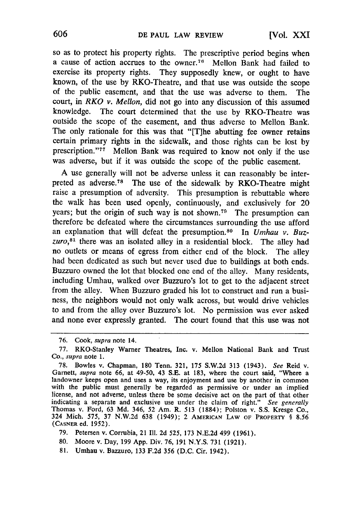so as to protect his property rights. The prescriptive period begins when a cause of action accrues to the owner. 76 Mellon Bank had failed to exercise its property rights. They supposedly knew, or ought to have known, of the use by RKO-Theatre, and that use was outside the scope of the public easement, and that the use was adverse to them. The court, in *RKO v. Mellon,* did not go into any discussion of this assumed knowledge. The court determined that the use by RKO-Theatre was outside the scope of the easement, and thus adverse to Mellon Bank. The only rationale for this was that "[T]he abutting fee owner retains certain primary rights in the sidewalk, and those rights can be lost by prescription."<sup>77</sup> Mellon Bank was required to know not only if the use was adverse, but if it was outside the scope of the public easement.

A use generally will not be adverse unless it can reasonably be interpreted as adverse.<sup>78</sup> The use of the sidewalk by RKO-Theatre might raise a presumption of adversity. This presumption is rebuttable where the walk has been used openly, continuously, and exclusively for 20 years; but the origin of such way is not shown.<sup>79</sup> The presumption can therefore be defeated where the circumstances surrounding the use afford an explanation that will defeat the presumption.<sup>80</sup> In *Umhau v. Buz*zuro,<sup>81</sup> there was an isolated alley in a residential block. The alley had no outlets or means of egress from either end of the block. The alley had been dedicated as such but never used due to buildings at both ends. Buzzuro owned the lot that blocked one end of the alley. Many residents, including Umhau, walked over Buzzuro's lot to get to the adjacent street from the alley. When Buzzuro graded his lot to construct and run a business, the neighbors would not only walk across, but would drive vehicles to and from the alley over Buzzuro's lot. No permission was ever asked and none ever expressly granted. The court found that this use was not

<sup>76.</sup> Cook, supra note 14.

<sup>77.</sup> RKO-Stanley Warner Theatres, Inc. v. Mellon National Bank and Trust *Co.,* supra note 1.

<sup>78.</sup> Bowles v. Chapman, 180 Tenn. 321, 175 S.W.2d 313 (1943). See Reid v. Garnett, *supra* note 66, at 49-50, 43 S.E. at 183, where the court said, "Where a landowner keeps open and uses a way, its enjoyment and use by anot indicating a separate and exclusive use under the claim of right." *See generally* Thomas v. Ford, 63 Md. 346, 52 Am. R. 513 (1884); Polston v. S.S. Kresge Co., 324 Mich. 575, 37 N.W.2d 638 (1949); 2 **AMERICAN LAW** OF PROPERTY **§ 8.56 (CASNER** ed. 1952).

<sup>79.</sup> Petersen v. Corrubia, 21 **111.** 2d 525, 173 N.E.2d 499 (1961).

<sup>80.</sup> Moore v. Day, 199 App. Div. 76, 191 N.Y.S. 731 (1921).

<sup>81.</sup> Umhau v. Bazzuro, 133 F.2d 356 (D.C. Cir. 1942).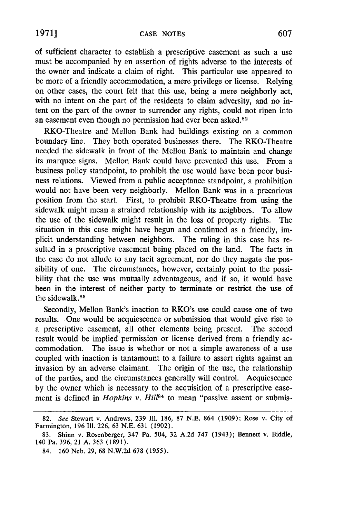of sufficient character to establish a prescriptive easement as such a use must be accompanied by an assertion of rights adverse to the interests of the owner and indicate a claim of right. This particular use appeared to be more of a friendly accommodation, a mere privilege or license. Relying on other cases, the court felt that this use, being a mere neighborly act, with no intent on the part of the residents to claim adversity, and no intent on the part of the owner to surrender any rights, could not ripen into an easement even though no permission had ever been asked.<sup>82</sup>

RKO-Theatre and Mellon Bank had buildings existing on a common boundary line. They both operated businesses there. The RKO-Theatre needed the sidewalk in front of the Mellon Bank to maintain and change its marquee signs. Mellon Bank could have prevented this use. From a business policy standpoint, to prohibit the use would have been poor business relations. Viewed from a public acceptance standpoint, a prohibition would not have been very neighborly. Mellon Bank was in a precarious position from the start. First, to prohibit RKO-Theatre from using the sidewalk might mean a strained relationship with its neighbors. To allow the use of the sidewalk might result in the loss of property rights. The situation in this case might have begun and continued as a friendly, implicit understanding between neighbors. The ruling in this case has resulted in a prescriptive easement being placed on the land. The facts in the case do not allude to any tacit agreement, nor do they negate the possibility of one. The circumstances, however, certainly point to the possibility that the use was mutually advantageous, and if so, it would have been in the interest of neither party to terminate or restrict the use of the sidewalk. <sup>83</sup>

Secondly, Mellon Bank's inaction to RKO's use could cause one of two results. One would be acquiescence or submission that would give rise to a prescriptive easement, all other elements being present. The second result would be implied permission or license derived from a friendly accommodation. The issue is whether or not a simple awareness of a use coupled with inaction is tantamount to a failure to assert rights against an invasion by an adverse claimant. The origin of the use, the relationship of the parties, and the circumstances generally will control. Acquiescence by the owner which is necessary to the acquisition of a prescriptive easement is defined in *Hopkins v. Hill*<sup>84</sup> to mean "passive assent or submis-

<sup>82.</sup> *See* Stewart v. Andrews, 239 Il1. 186, 87 N.E. 864 (1909); Rose v. City of Farmington, 196 Il1. 226, 63 N.E. 631 (1902).

<sup>83.</sup> Shinn v. Rosenberger, 347 Pa. 504, 32 A.2d 747 (1943); Bennett v. Biddle, 140 Pa. 396, 21 A. 363 (1891).

<sup>84. 160</sup> Neb. 29, 68 N.W.2d 678 **(1955).**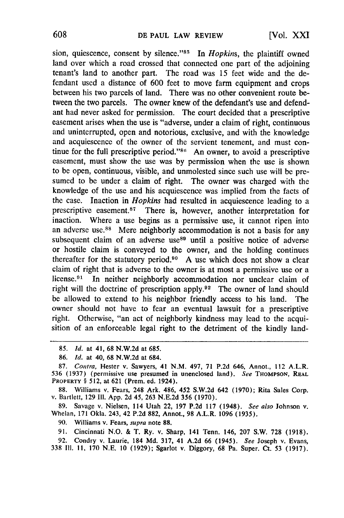sion, quiescence, consent by silence."<sup>85</sup> In *Hopkins*, the plaintiff owned land over which a road crossed that connected one part of the adjoining tenant's land to another part. The road was 15 feet wide and the defendant used a distance of 600 feet to move farm equipment and crops between his two parcels of land. There was no other convenient route between the two parcels. The owner knew of the defendant's use and defendant had never asked for permission. The court decided that a prescriptive easement arises when the use is "adverse, under a claim of right, continuous and uninterrupted, open and notorious, exclusive, and with the knowledge and acquiescence of the owner of the servient tenement, and must continue for the full prescriptive period."<sup>84</sup> An owner, to avoid a prescriptive easement, must show the use was by permission when the use is shown to be open, continuous, visible, and unmolested since such use will be presumed to be under a claim of right. The owner was charged with the knowledge of the use and his acquiescence was implied from the facts of the case. Inaction in *Hopkins* had resulted in acquiescence leading to a prescriptive easement.<sup>87</sup> There is, however, another interpretation for inaction. Where a use begins as a permissive use, it cannot ripen into an adverse use.<sup>88</sup> Mere neighborly accommodation is not a basis for any subsequent claim of an adverse use<sup>89</sup> until a positive notice of adverse or hostile claim is conveyed to the owner, and the holding continues thereafter for the statutory period.90 A use which does not show a clear claim of right that is adverse to the owner is at most a permissive use or a license.<sup>91</sup> In neither neighborly accommodation nor unclear claim of right will the doctrine of prescription apply. 92 The owner of land should be allowed to extend to his neighbor friendly access to his land. The owner should not have to fear an eventual lawsuit for a prescriptive right. Otherwise, "an act of neighborly kindness may lead to the acquisition of an enforceable legal right to the detriment of the kindly land-

88. Williams v. Fears, 248 Ark. 486, 452 **S.W.2d** 642 **(1970); Rita** Sales **Corp.** v. Bartlett, 129 **I11.** App. **2d** 45, 263 N.E.2d *356* (1970).

**89.** Savage v. Nielsen, 114 Utah 22, 197 **P.2d 117** (1948). *See also* Johnson v. Whelan, 171 Okla. 243, 42 P.2d 882, Annot., 98 A.L.R. **1096** (1935).

**90.** Williams v. Fears, *supra* note 88.

91. Cincinnati N.O. & T. Ry. v. Sharp, 141 Tenn. 146, **207** S.W. 728 (1918).

92. Condry v. Laurie, 184 **Md.** 317, 41 A.2d 66 (1945). *See* Joseph v. Evans, <sup>338</sup>**III. 11, 170** N.E. **10 (1929);** Sgarlot v. Diggory, 68 Pa. Super. Ct. 53 (1917).

<sup>85.</sup> **Id.** at 41, 68 N.W.2d at 685.

<sup>86.</sup> *Id.* at 40, **68 N.W.2d** at 684.

<sup>87.</sup> *Contra,* Hester v. Sawyers, 41 N.M. 497, 71 **P.2d** 646, Annot., 112 A.L.R. 536 (1937) (permissive use presumed in unenclosed land). *See* THOMPSON, REAL **PROPERTY §** 512, at 621 (Prem. ed. 1924).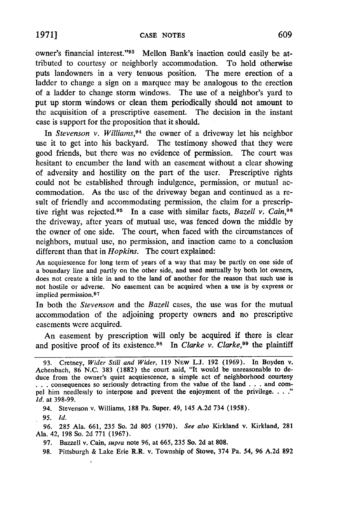owner's financial interest."<sup>93</sup> Mellon Bank's inaction could easily be attributed to courtesy or neighborly accommodation. To hold otherwise puts landowners in a very tenuous position. The mere erection of a ladder to change a sign on a marquee may be analogous to the erection of a ladder to change storm windows. The use of a neighbor's yard to put up storm windows or clean them periodically should not amount to the acquisition of a prescriptive easement. The decision in the instant case is support for the proposition that it should.

In *Stevenson v. Williams*,<sup>94</sup> the owner of a driveway let his neighbor use it to get into his backyard. The testimony showed that they were good friends, but there was no evidence of permission. The court was hesitant to encumber the land with an easement without a clear showing of adversity and hostility on the part of the user. Prescriptive rights could not be established through indulgence, permission, or mutual accommodation. As the use of the driveway began and continued as a result of friendly and accommodating permission, the claim for a prescriptive right was rejected.95 In a case with similar facts, *Bazell v. Cain,96* the driveway, after years of mutual use, was fenced down the middle by the owner of one side. The court, when faced with the circumstances of neighbors, mutual use, no permission, and inaction came to a conclusion different than that in *Hopkins.* The court explained:

An acquiescence for long term of years of a way that may be partly on one side of a boundary line and partly on the other side, and used mutually **by** both lot owners, does not create a title in and to the land of another for the reason that such use is not hostile or adverse. No easement can be acquired when a use is by express or implied permission.<sup>97</sup>

In both the *Stevenson* and the *Bazell* cases, the use was for the mutual accommodation of the adjoining property owners and no prescriptive easements were acquired.

An easement by prescription will only be acquired if there is clear and positive proof of its existence.<sup>98</sup> In *Clarke v. Clarke*,<sup>99</sup> the plaintiff

94. Stevenson v. Williams, **188** Pa. Super. 49, 145 A.2d 734 **(1958).**

*95. Id.*

**96.** 285 Ala. 661, 235 So. 2d **805** (1970). *See also* Kirkland v. Kirkland, 281 Ala. 42, 198 So. 2d 771 (1967).

97. Bazzell v. Cain, *supra* note 96, at 665, 235 So. 2d at 808.

98. Pittsburgh & Lake Erie R.R. v. Township of Stowe, 374 Pa. *54,* 96 A.2d 892

<sup>93.</sup> Cretney, *Wider Still and Wider,* 119 NEw L.J. 192 (1969). In Boyden v. Achenbach, 86 N.C. 383 (1882) the court said, "It would be unreasonable to deduce from the owner's quiet acquiescence, a simple act of neighborhood courtesy • **. .** consequences so seriously detracting from the value of the land . **. .** and compel him needlessly to interpose and prevent the enjoyment of the privilege. . . ." *Id.* at 398-99.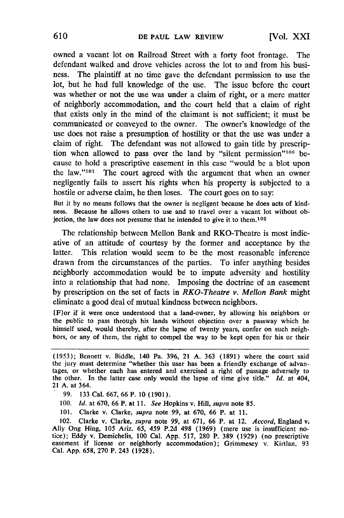owned a vacant lot on Railroad Street with a forty foot frontage. The defendant walked and drove vehicles across the lot to and from his business. The plaintiff at no time gave the defendant permission to use the lot, but he had full knowledge of the use. The issue before the court was whether or not the use was under a claim of right, or a mere matter of neighborly accommodation, and the court held that a claim of right that exists only in the mind of the claimant is not sufficient; it must be communicated or conveyed to the owner. The owner's knowledge of the use does not raise a presumption of hostility or that the use was under a claim of right. The defendant was not allowed to gain title by prescription when allowed to pass over the land by "silent permission"'100 because to hold a prescriptive easement in this case "would be a blot upon the law."<sup>101</sup> The court agreed with the argument that when an owner negligently fails to assert his rights when his property is subjected to a hostile or adverse claim, he then loses. The court goes on to say:

But it by no means follows that the owner is negligent because he does acts of kind ness. Because he allows others to use and to travel over a vacant lot without objection, the law does not presume that he intended to give it to them. <sup>102</sup>

The relationship between Mellon Bank and RKO-Theatre is most indicative of an attitude of courtesy by the former and acceptance by the latter. This relation would seem to be the most reasonable inference drawn from the circumstances of the parties. To infer anything besides neighborly accommodation would be to impute adversity and hostility into a relationship that had none. Imposing the doctrine of an easement by prescription on the set of facts in *RKO-Theatre v. Mellon Bank* might eliminate a good deal of mutual kindness between neighbors.

[F]or if it were once understood that a land-owner, by allowing his neighbors or the public to pass through his lands without objection over a passway which he himself used, would thereby, after the lapse of twenty years, confer on such neighbors, or any of them, the right to compel the way to be kept open for his or their

- **100.** *Id.* at 670, 66 P. at 11. *See* Hopkins v. Hill, supra note **85.**
- 101. Clarke v. Clarke, *supra* note **99,** at 670, 66 P. at 11.

102. Clarke v. Clarke, *supra* note 99, at 671, 66 P. at 12. Accord, England v. Ally Ong Hing, 105 Ariz. 65, 459 P.2d 498 (1969) (mere use is insufficient notice); Eddy v. Demichelis, 100 Cal. App. 517, 280 P. 389 (1929) easement if license or neighborly accommodation); Grimmesey v. Kirtlan, **93** Cal. **App.** 658, **270** P. 243 **(1928).**

<sup>(1953);</sup> Bennett v. Biddle, 140 Pa. 396, 21 A. 363 (1891) where the court said the jury must determine "whether this user has been a friendly exchange of advantages, or whether each has entered and exercised a right of passage adversely to the other. In the latter case only would the lapse of time give title." *Id.* at 404, 21 A. at 364.

**<sup>99.</sup>** 133 Cal. 667, 66 P. **10 (1901).**